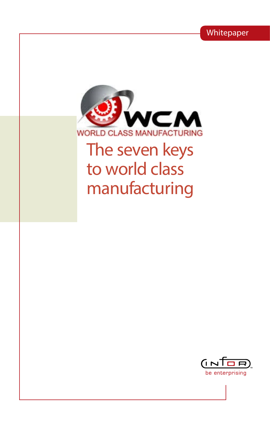Whitepaper



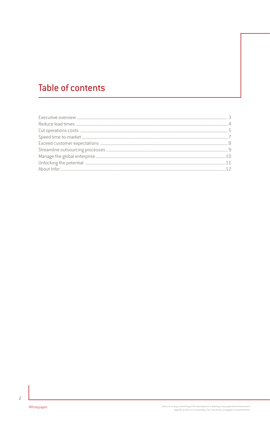# **Table of contents**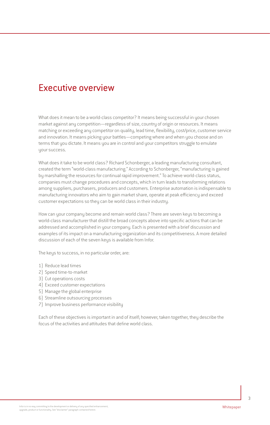#### Executive overview

What does it mean to be a world-class competitor? It means being successful in your chosen market against any competition—regardless of size, country of origin or resources. It means matching or exceeding any competitor on quality, lead time, flexibility, cost/price, customer service and innovation. It means picking your battles—competing where and when you choose and on terms that you dictate. It means you are in control and your competitors struggle to emulate your success.

What does it take to be world class? Richard Schonberger, a leading manufacturing consultant, created the term "world-class manufacturing." According to Schonberger, "manufacturing is gained by marshalling the resources for continual rapid improvement." To achieve world-class status, companies must change procedures and concepts, which in turn leads to transforming relations among suppliers, purchasers, producers and customers. Enterprise automation is indispensable to manufacturing innovators who aim to gain market share, operate at peak efficiency and exceed customer expectations so they can be world class in their industry.

How can your company become and remain world class? There are seven keys to becoming a world-class manufacturer that distill the broad concepts above into specific actions that can be addressed and accomplished in your company. Each is presented with a brief discussion and examples of its impact on a manufacturing organization and its competitiveness. A more detailed discussion of each of the seven keys is available from Infor.

The keys to success, in no particular order, are:

- 1) Reduce lead times
- 2) Speed time-to-market
- 3) Cut operations costs
- 4) Exceed customer expectations
- 5) Manage the global enterprise
- 6) Streamline outsourcing processes
- 7) Improve business performance visibility

Each of these objectives is important in and of itself; however, taken together, they describe the focus of the activities and attitudes that define world class.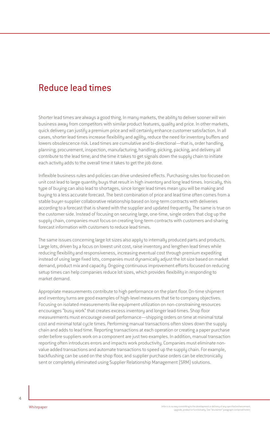### Reduce lead times

Shorter lead times are always a good thing. In many markets, the ability to deliver sooner will win business away from competitors with similar product features, quality and price. In other markets, quick delivery can justify a premium price and will certainly enhance customer satisfaction. In all cases, shorter lead times increase flexibility and agility, reduce the need for inventory buffers and lowers obsolescence risk. Lead times are cumulative and bi-directional—that is, order handling, planning, procurement, inspection, manufacturing, handling, picking, packing, and delivery all contribute to the lead time; and the time it takes to get signals down the supply chain to initiate each activity adds to the overall time it takes to get the job done.

Inflexible business rules and policies can drive undesired effects. Purchasing rules too focused on unit cost lead to large quantity buys that result in high inventory and long lead times. Ironically, this type of buying can also lead to shortages, since longer lead times mean you will be making and buying to a less accurate forecast. The best combination of price and lead time often comes from a stable buyer-supplier collaborative relationship based on long-term contracts with deliveries according to a forecast that is shared with the supplier and updated frequently. The same is true on the customer side. Instead of focusing on securing large, one-time, single orders that clog up the supply chain, companies must focus on creating long-term contracts with customers and sharing forecast information with customers to reduce lead times.

The same issues concerning large lot sizes also apply to internally produced parts and products. Large lots, driven by a focus on lowest unit cost, raise inventory and lengthen lead times while reducing flexibility and responsiveness, increasing eventual cost through premium expediting instead of using large fixed lots, companies must dynamically adjust the lot size based on market demand, product mix and capacity. Ongoing continuous improvement efforts focused on reducing setup times can help companies reduce lot sizes, which provides flexibility in responding to market demand.

Appropriate measurements contribute to high performance on the plant floor. On-time shipment and inventory turns are good examples of high-level measures that tie to company objectives. Focusing on isolated measurements like equipment utilization on non-constraining resources encourages "busy work" that creates excess inventory and longer lead-times. Shop floor measurements must encourage overall performance—shipping orders on time at minimal total cost and minimal total cycle times. Performing manual transactions often slows down the supply chain and adds to lead time. Reporting transactions at each operation or creating a paper purchase order before suppliers work on a component are just two examples. In addition, manual transaction reporting often introduces errors and impacts work productivity. Companies must eliminate nonvalue added transactions and automate transactions to speed up the supply chain. For example, backflushing can be used on the shop floor, and supplier purchase orders can be electronically sent or completely eliminated using Supplier Relationship Management (SRM) solutions.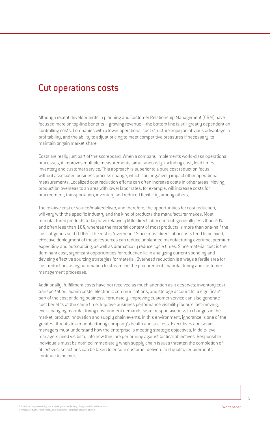#### Cut operations costs

Although recent developments in planning and Customer Relationship Management (CRM) have focused more on top-line benefits—growing revenue—the bottom line is still greatly dependent on controlling costs. Companies with a lower operational cost structure enjoy an obvious advantage in profitability, and the ability to adjust pricing to meet competitive pressures if necessary, to maintain or gain market share.

Costs are really just part of the scoreboard. When a company implements world-class operational processes, it improves multiple measurements simultaneously, including cost, lead times, inventory and customer service. This approach is superior to a pure cost reduction focus without associated business process change, which can negatively impact other operational measurements. Localized cost reduction efforts can often increase costs in other areas. Moving production overseas to an area with lower labor rates, for example, will increase costs for procurement, transportation, inventory and reduced flexibility, among others.

The relative cost of source/make/deliver, and therefore, the opportunities for cost reduction, will vary with the specific industry and the kind of products the manufacturer makes. Most manufactured products today have relatively little direct labor content, generally less than 20% and often less than 10%, whereas the material content of most products is more than one-half the cost-of-goods sold (COGS). The rest is "overhead." Since most direct labor costs tend to be fixed, effective deployment of these resources can reduce unplanned manufacturing overtime, premium expediting and outsourcing, as well as dramatically reduce cycle times. Since material cost is the dominant cost, significant opportunities for reduction lie in analyzing current spending and devising effective sourcing strategies for material. Overhead reduction is always a fertile area for cost reduction, using automation to streamline the procurement, manufacturing and customer management processes.

Additionally, fulfillment costs have not received as much attention as it deserves; inventory cost, transportation, admin costs, electronic communications, and storage account for a significant part of the cost of doing business. Fortunately, improving customer service can also generate cost benefits at the same time. Improve business performance visibility Today's fast-moving, ever-changing manufacturing environment demands faster responsiveness to changes in the market, product innovation and supply chain events. In this environment, ignorance is one of the greatest threats to a manufacturing company's health and success. Executives and senior managers must understand how the enterprise is meeting strategic objectives. Middle-level managers need visibility into how they are performing against tactical objectives. Responsible individuals must be notified immediately when supply chain issues threaten the completion of objectives, so actions can be taken to ensure customer delivery and quality requirements continue to be met.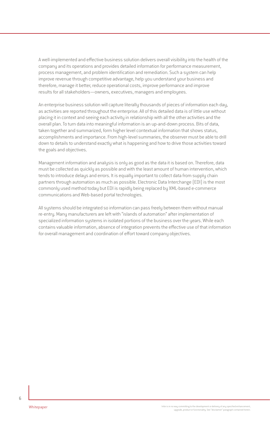A well-implemented and effective business solution delivers overall visibility into the health of the company and its operations and provides detailed information for performance measurement, process management, and problem identification and remediation. Such a system can help improve revenue through competitive advantage, help you understand your business and therefore, manage it better, reduce operational costs, improve performance and improve results for all stakeholders—owners, executives, managers and employees.

An enterprise business solution will capture literally thousands of pieces of information each day, as activities are reported throughout the enterprise. All of this detailed data is of little use without placing it in context and seeing each activity in relationship with all the other activities and the overall plan. To turn data into meaningful information is an up-and-down process. Bits of data, taken together and summarized, form higher level contextual information that shows status, accomplishments and importance. From high-level summaries, the observer must be able to drill down to details to understand exactly what is happening and how to drive those activities toward the goals and objectives.

Management information and analysis is only as good as the data it is based on. Therefore, data must be collected as quickly as possible and with the least amount of human intervention, which tends to introduce delays and errors. It is equally important to collect data from supply chain partners through automation as much as possible. Electronic Data Interchange (EDI) is the most commonly used method today but EDI is rapidly being replaced by XML-based e-commerce communications and Web-based portal technologies.

All systems should be integrated so information can pass freely between them without manual re-entry. Many manufacturers are left with "islands of automation" after implementation of specialized information systems in isolated portions of the business over the years. While each contains valuable information, absence of integration prevents the effective use of that information for overall management and coordination of effort toward company objectives.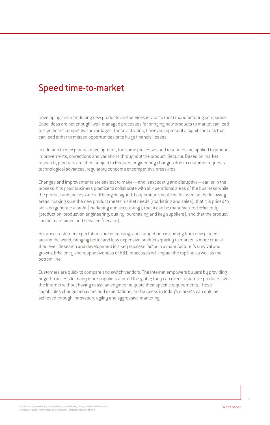# Speed time-to-market

Developing and introducing new products and services is vital to most manufacturing companies. Good ideas are not enough; well-managed processes for bringing new products to market can lead to significant competitive advantages. Those activities, however, represent a significant risk that can lead either to missed opportunities or to huge financial losses.

In addition to new product development, the same processes and resources are applied to product improvements, corrections and variations throughout the product lifecycle. Based on market research, products are often subject to frequent engineering changes due to customer requests, technological advances, regulatory concerns or competitive pressures.

Changes and improvements are easiest to make— and least costly and disruptive—earlier in the process. It is good business practice to collaborate with all operational areas of the business while the product and process are still being designed. Cooperation should be focused on the following areas: making sure the new product meets market needs (marketing and sales), that it is priced to sell and generate a profit (marketing and accounting), that it can be manufactured efficiently (production, production engineering, quality, purchasing and key suppliers), and that the product can be maintained and serviced (service).

Because customer expectations are increasing, and competition is coming from new players around the world, bringing better and less expensive products quickly to market is more crucial than ever. Research and development is a key success factor in a manufacturer's survival and growth. Efficiency and responsiveness of R&D processes will impact the top line as well as the bottom line.

Customers are quick to compare and switch vendors. The Internet empowers buyers by providing fingertip access to many more suppliers around the globe; they can even customize products over the Internet without having to ask an engineer to quote their specific requirements. These capabilities change behaviors and expectations, and success in today's markets can only be achieved through innovation, agility and aggressive marketing.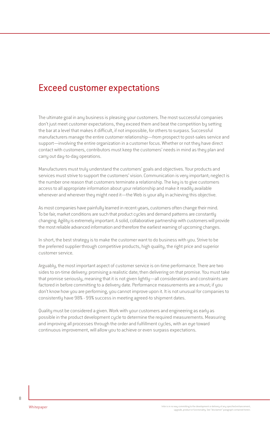#### Exceed customer expectations

The ultimate goal in any business is pleasing your customers. The most successful companies don't just meet customer expectations, they exceed them and beat the competition by setting the bar at a level that makes it difficult, if not impossible, for others to surpass. Successful manufacturers manage the entire customer relationship—from prospect to post-sales service and support—involving the entire organization in a customer focus. Whether or not they have direct contact with customers, contributors must keep the customers' needs in mind as they plan and carry out day-to-day operations.

Manufacturers must truly understand the customers' goals and objectives. Your products and services must strive to support the customers' vision. Communication is very important; neglect is the number one reason that customers terminate a relationship. The key is to give customers access to all appropriate information about your relationship and make it readily available whenever and wherever they might need it—the Web is your ally in achieving this objective.

As most companies have painfully learned in recent years, customers often change their mind. To be fair, market conditions are such that product cycles and demand patterns are constantly changing. Agility is extremely important. A solid, collaborative partnership with customers will provide the most reliable advanced information and therefore the earliest warning of upcoming changes.

In short, the best strategy is to make the customer want to do business with you. Strive to be the preferred supplier through competitive products, high quality, the right price and superior customer service.

Arguably, the most important aspect of customer service is on-time performance. There are two sides to on-time delivery: promising a realistic date; then delivering on that promise. You must take that promise seriously, meaning that it is not given lightly—all considerations and constraints are factored in before committing to a delivery date. Performance measurements are a must; if you don't know how you are performing, you cannot improve upon it. It is not unusual for companies to consistently have 98% - 99% success in meeting agreed-to shipment dates.

Quality must be considered a given. Work with your customers and engineering as early as possible in the product development cycle to determine the required measurements. Measuring and improving all processes through the order and fulfillment cycles, with an eye toward continuous improvement, will allow you to achieve or even surpass expectations.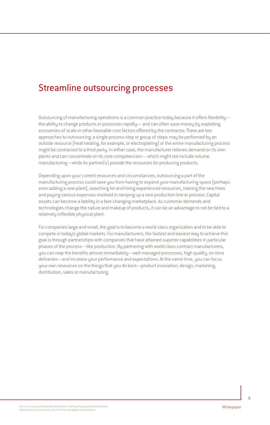## Streamline outsourcing processes

Outsourcing of manufacturing operations is a common practice today because it offers flexibility the ability to change products or processes rapidly— and can often save money by exploiting economies of scale or other favorable cost factors offered by the contractor. There are two approaches to outsourcing: a single process step or group of steps may be performed by an outside resource (heat treating, for example, or electroplating) or the entire manufacturing process might be contracted to a third party. In either case, the manufacturer relieves demand on its own plants and can concentrate on its core competencies— which might not include volume manufacturing—while its partner(s) provide the resources for producing products.

Depending upon your current resources and circumstances, outsourcing a part of the manufacturing process could save you from having to expand your manufacturing space (perhaps even adding a new plant), searching for and hiring experienced resources, training the new hires and paying various expenses involved in ramping up a new production line or process. Capital assets can become a liability in a fast-changing marketplace. As customer demands and technologies change the nature and makeup of products, it can be an advantage to not be tied to a relatively inflexible physical plant.

For companies large and small, the goal is to become a world-class organization and to be able to compete in today's global markets. For manufacturers, the fastest and easiest way to achieve this goal is through partnerships with companies that have attained superior capabilities in particular phases of the process—like production. By partnering with world class contract manufacturers, you can reap the benefits almost immediately—well-managed processes, high quality, on-time deliveries—and increase your performance and expectations. At the same time, you can focus your own resources on the things that you do best—product innovation, design, marketing, distribution, sales or manufacturing.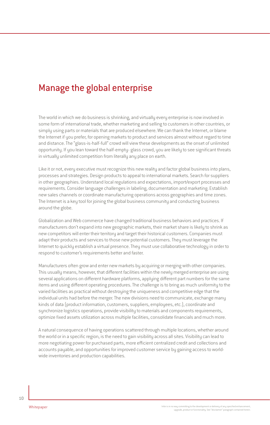## Manage the global enterprise

The world in which we do business is shrinking, and virtually every enterprise is now involved in some form of international trade, whether marketing and selling to customers in other countries, or simply using parts or materials that are produced elsewhere. We can thank the Internet, or blame the Internet if you prefer, for opening markets to product and services almost without regard to time and distance. The "glass-is-half-full" crowd will view these developments as the onset of unlimited opportunity. If you lean toward the half-empty- glass crowd, you are likely to see significant threats in virtually unlimited competition from literally any place on earth.

Like it or not, every executive must recognize this new reality and factor global business into plans, processes and strategies. Design products to appeal to international markets. Search for suppliers in other geographies. Understand local regulations and expectations, import/export processes and requirements. Consider language challenges in labeling, documentation and marketing. Establish new sales channels or coordinate manufacturing operations across geographies and time zones. The Internet is a key tool for joining the global business community and conducting business around the globe.

Globalization and Web commerce have changed traditional business behaviors and practices. If manufacturers don't expand into new geographic markets, their market share is likely to shrink as new competitors will enter their territory and target their historical customers. Companies must adapt their products and services to those new potential customers. They must leverage the Internet to quickly establish a virtual presence. They must use collaborative technology in order to respond to customer's requirements better and faster.

Manufacturers often grow and enter new markets by acquiring or merging with other companies. This usually means, however, that different facilities within the newly merged enterprise are using several applications on different hardware platforms, applying different part numbers for the same items and using different operating procedures. The challenge is to bring as much uniformity to the varied facilities as practical without destroying the uniqueness and competitive edge that the individual units had before the merger. The new divisions need to communicate, exchange many kinds of data (product information, customers, suppliers, employees, etc.), coordinate and synchronize logistics operations, provide visibility to materials and components requirements, optimize fixed assets utilization across multiple facilities, consolidate financials and much more.

A natural consequence of having operations scattered through multiple locations, whether around the world or in a specific region, is the need to gain visibility across all sites. Visibility can lead to more negotiating power for purchased parts, more efficient centralized credit and collections and accounts payable, and opportunities for improved customer service by gaining access to worldwide inventories and production capabilities.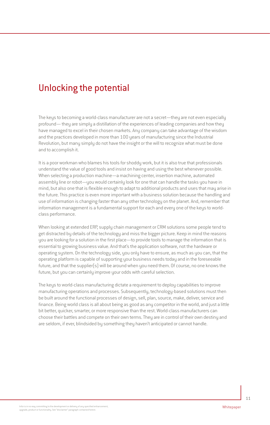# Unlocking the potential

The keys to becoming a world-class manufacturer are not a secret—they are not even especially profound— they are simply a distillation of the experiences of leading companies and how they have managed to excel in their chosen markets. Any company can take advantage of the wisdom and the practices developed in more than 100 years of manufacturing since the Industrial Revolution, but many simply do not have the insight or the will to recognize what must be done and to accomplish it.

It is a poor workman who blames his tools for shoddy work, but it is also true that professionals understand the value of good tools and insist on having and using the best whenever possible. When selecting a production machine—a machining center, insertion machine, automated assembly line or robot—you would certainly look for one that can handle the tasks you have in mind, but also one that is flexible enough to adapt to additional products and uses that may arise in the future. This practice is even more important with a business solution because the handling and use of information is changing faster than any other technology on the planet. And, remember that information management is a fundamental support for each and every one of the keys to worldclass performance.

When looking at extended ERP, supply chain management or CRM solutions some people tend to get distracted by details of the technology and miss the bigger picture. Keep in mind the reasons you are looking for a solution in the first place—to provide tools to manage the information that is essential to growing business value. And that's the application software, not the hardware or operating system. On the technology side, you only have to ensure, as much as you can, that the operating platform is capable of supporting your business needs today and in the foreseeable future, and that the supplier(s) will be around when you need them. Of course, no one knows the future, but you can certainly improve your odds with careful selection.

The keys to world-class manufacturing dictate a requirement to deploy capabilities to improve manufacturing operations and processes. Subsequently, technology-based solutions must then be built around the functional processes of design, sell, plan, source, make, deliver, service and finance. Being world class is all about being as good as any competitor in the world, and just a little bit better, quicker, smarter, or more responsive than the rest. World-class manufacturers can choose their battles and compete on their own terms. They are in control of their own destiny and are seldom, if ever, blindsided by something they haven't anticipated or cannot handle.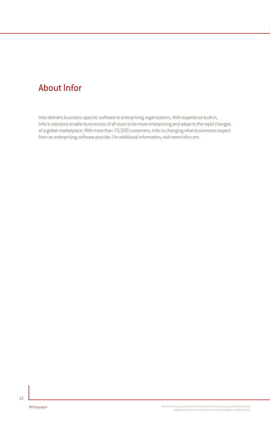# About Infor

Infor delivers business-specific software to enterprising organizations. With experience built in, Infor's solutions enable businesses of all sizes to be more enterprising and adapt to the rapid changes of a global marketplace. With more than 70,000 customers, Infor is changing what businesses expect from an enterprising software provider. For additional information, visit www.infor.com.